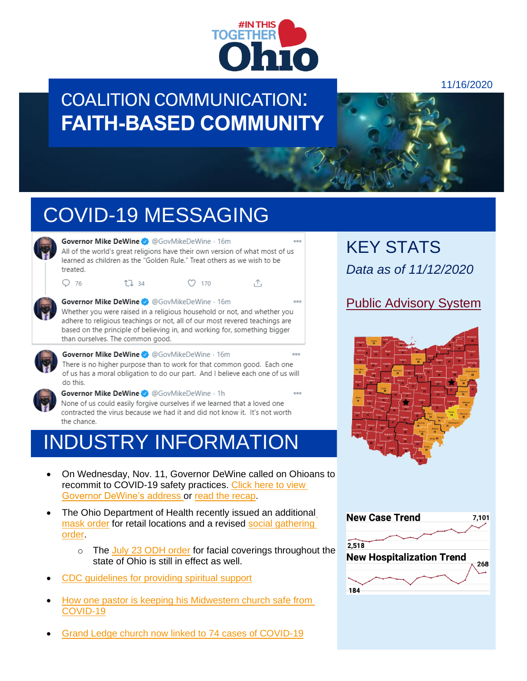

Λ,

### COALITION COMMUNICATION: **FAITH-BASED COMMUNITY**



# COVID-19 MESSAGING

 $17.34$ 



Governor Mike DeWine 3 @GovMikeDeWine · 16m All of the world's great religions have their own version of what most of us learned as children as the "Golden Rule." Treat others as we wish to be treated.

 $O(170)$ 



 $Q$  76

Governor Mike DeWine <> @GovMikeDeWine . 16m  $000$ Whether you were raised in a religious household or not, and whether you adhere to religious teachings or not, all of our most revered teachings are based on the principle of believing in, and working for, something bigger than ourselves. The common good.



Governor Mike DeWine <> @GovMikeDeWine . 16m  $000$ There is no higher purpose than to work for that common good. Each one of us has a moral obligation to do our part. And I believe each one of us will do this.



Governor Mike DeWine 3 @GovMikeDeWine . 1h None of us could easily forgive ourselves if we learned that a loved one contracted the virus because we had it and did not know it. It's not worth the chance.

## INDUSTRY INFORMATION

- On Wednesday, Nov. 11, Governor DeWine called on Ohioans to recommit to COVID-19 safety practices. [Click here to view](https://bit.ly/2GVLmJK)  [Governor DeWine's address](https://bit.ly/2GVLmJK) or [read the](https://coronavirus.ohio.gov/wps/portal/gov/covid-19/resources/news-releases-news-you-can-use/covid-19-update-11-11-20) recap.
- The Ohio Department of Health recently issued an [additional](https://coronavirus.ohio.gov/static/publicorders/retail-and-business-compliance-facial-coverings-all-ohio.pdf) [mask order](https://coronavirus.ohio.gov/static/publicorders/retail-and-business-compliance-facial-coverings-all-ohio.pdf) for retail locations and a revised [social gathering](https://coronavirus.ohio.gov/static/publicorders/limit-prohibit-mass-gatherings-ohio-rev-order.pdf)  [order.](https://coronavirus.ohio.gov/static/publicorders/limit-prohibit-mass-gatherings-ohio-rev-order.pdf)
	- o The [July 23 ODH order](https://coronavirus.ohio.gov/static/publicorders/Directors-Order-Facial-Coverings-throughout-State-Ohio.pdf) for facial coverings throughout the state of Ohio is still in effect as well.
- [CDC guidelines for providing spiritual support](https://www.cdc.gov/coronavirus/2019-ncov/global-covid-19/providing-spiritual-support.html)
- [How one pastor is keeping his Midwestern church safe from](https://elemental.medium.com/the-push-pull-of-being-a-science-minded-pastor-at-a-conservative-midwestern-church-e3f2d995290)  [COVID-19](https://elemental.medium.com/the-push-pull-of-being-a-science-minded-pastor-at-a-conservative-midwestern-church-e3f2d995290)
- [Grand Ledge church now linked to 74 cases of COVID-19](https://www.wlns.com/news/health/coronavirus/grand-ledge-church-now-linked-to-74-cases-of-covid-19/)

KEY STATS *Data as of 11/12/2020*

### [Public Advisory System](https://coronavirus.ohio.gov/wps/portal/gov/covid-19/public-health-advisory-system)



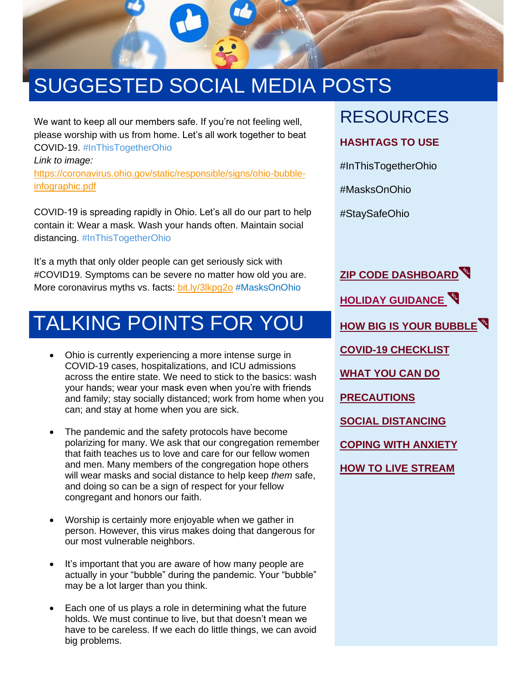

# SUGGESTED SOCIAL MEDIA POSTS

We want to keep all our members safe. If you're not feeling well, please worship with us from home. Let's all work together to beat COVID-19. #InThisTogetherOhio

*Link to image:*  [https://coronavirus.ohio.gov/static/responsible/signs/ohio-bubble](https://coronavirus.ohio.gov/static/responsible/signs/ohio-bubble-infographic.pdf)[infographic.pdf](https://coronavirus.ohio.gov/static/responsible/signs/ohio-bubble-infographic.pdf)

COVID-19 is spreading rapidly in Ohio. Let's all do our part to help contain it: Wear a mask. Wash your hands often. Maintain social distancing. #InThisTogetherOhio

It's a myth that only older people can get seriously sick with #COVID19. Symptoms can be severe no matter how old you are. More coronavirus myths vs. facts: [bit.ly/3lkpg2o](https://coronavirus.ohio.gov/wps/wcm/connect/gov/78f38933-e36c-4ca6-afc1-fc24f1fc80f7/COVID-19+Myths+v.+Facts+07.27.20.pdf?MOD=AJPERES&CONVERT_TO=url&CACHEID=ROOTWORKSPACE.Z18_M1HGGIK0N0JO00QO9DDDDM3000-78f38933-e36c-4ca6-afc1-fc24f1fc80f7-nkOx4AO) #MasksOnOhio

### TALKING POINTS FOR YOU

- Ohio is currently experiencing a more intense surge in COVID-19 cases, hospitalizations, and ICU admissions across the entire state. We need to stick to the basics: wash your hands; wear your mask even when you're with friends and family; stay socially distanced; work from home when you can; and stay at home when you are sick.
- The pandemic and the safety protocols have become polarizing for many. We ask that our congregation remember that faith teaches us to love and care for our fellow women and men. Many members of the congregation hope others will wear masks and social distance to help keep *them* safe, and doing so can be a sign of respect for your fellow congregant and honors our faith.
- Worship is certainly more enjoyable when we gather in person. However, this virus makes doing that dangerous for our most vulnerable neighbors.
- It's important that you are aware of how many people are actually in your "bubble" during the pandemic. Your "bubble" may be a lot larger than you think.
- Each one of us plays a role in determining what the future holds. We must continue to live, but that doesn't mean we have to be careless. If we each do little things, we can avoid big problems.

### RESOURCES

#### **HASHTAGS TO USE**

#InThisTogetherOhio

#MasksOnOhio

#StaySafeOhio

**[ZIP CODE DASHBOARD](https://coronavirus.ohio.gov/wps/portal/gov/covid-19/dashboards/key-metrics/cases-by-zipcode) [HOLIDAY GUIDANCE](https://coronavirus.ohio.gov/wps/portal/gov/covid-19/families-and-individuals/resources-for-parents-and-families/holiday-celebrations) [HOW BIG IS YOUR BUBBLE](https://coronavirus.ohio.gov/static/responsible/signs/ohio-bubble-infographic-white-bg.pdf) [COVID-19 CHECKLIST](https://coronavirus.ohio.gov/wps/portal/gov/covid-19/checklists/english-checklists/community-and-faith-based-organizations-covid-19-checklist) [WHAT YOU CAN DO](https://coronavirus.ohio.gov/static/responsible/signs/what-you-can-do-graphic-twitter.pdf) [PRECAUTIONS](https://coronavirus.ohio.gov/static/responsible/signs/Protect-yourself-sign.pdf) [SOCIAL DISTANCING](https://coronavirus.ohio.gov/wps/portal/gov/covid-19/resources/general-resources/social-distancing-infographics) [COPING WITH ANXIETY](https://coronavirus.ohio.gov/wps/portal/gov/covid-19/families-and-individuals/coping-with-covid-19-anxiety) [HOW TO LIVE STREAM](https://www.thegospelcoalition.org/article/livestream-church-service-practical-guide/)**